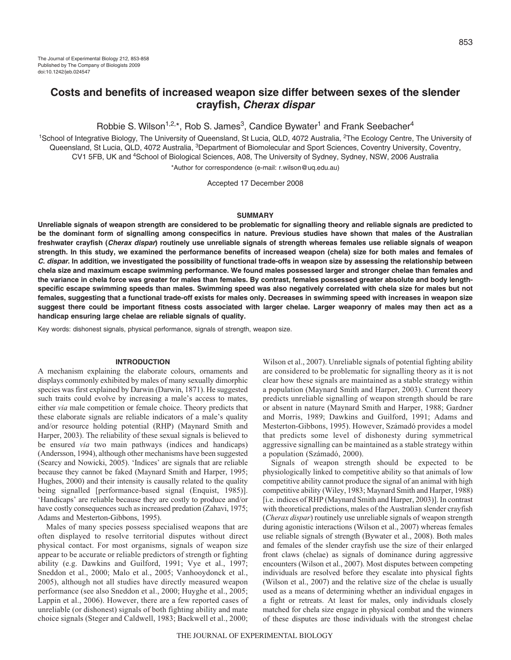# **Costs and benefits of increased weapon size differ between sexes of the slender crayfish, Cherax dispar**

Robbie S. Wilson<sup>1,2,\*</sup>, Rob S. James<sup>3</sup>, Candice Bywater<sup>1</sup> and Frank Seebacher<sup>4</sup>

<sup>1</sup>School of Integrative Biology, The University of Queensland, St Lucia, QLD, 4072 Australia, <sup>2</sup>The Ecology Centre, The University of Queensland, St Lucia, QLD, 4072 Australia, <sup>3</sup>Department of Biomolecular and Sport Sciences, Coventry University, Coventry, CV1 5FB, UK and 4School of Biological Sciences, A08, The University of Sydney, Sydney, NSW, 2006 Australia \*Author for correspondence (e-mail: r.wilson@uq.edu.au)

Accepted 17 December 2008

#### **SUMMARY**

**Unreliable signals of weapon strength are considered to be problematic for signalling theory and reliable signals are predicted to be the dominant form of signalling among conspecifics in nature. Previous studies have shown that males of the Australian freshwater crayfish (Cherax dispar) routinely use unreliable signals of strength whereas females use reliable signals of weapon strength. In this study, we examined the performance benefits of increased weapon (chela) size for both males and females of C. dispar. In addition, we investigated the possibility of functional trade-offs in weapon size by assessing the relationship between chela size and maximum escape swimming performance. We found males possessed larger and stronger chelae than females and the variance in chela force was greater for males than females. By contrast, females possessed greater absolute and body lengthspecific escape swimming speeds than males. Swimming speed was also negatively correlated with chela size for males but not females, suggesting that a functional trade-off exists for males only. Decreases in swimming speed with increases in weapon size suggest there could be important fitness costs associated with larger chelae. Larger weaponry of males may then act as a handicap ensuring large chelae are reliable signals of quality.**

Key words: dishonest signals, physical performance, signals of strength, weapon size.

### **INTRODUCTION**

A mechanism explaining the elaborate colours, ornaments and displays commonly exhibited by males of many sexually dimorphic species was first explained by Darwin (Darwin, 1871). He suggested such traits could evolve by increasing a male's access to mates, either *via* male competition or female choice. Theory predicts that these elaborate signals are reliable indicators of a male's quality and/or resource holding potential (RHP) (Maynard Smith and Harper, 2003). The reliability of these sexual signals is believed to be ensured *via* two main pathways (indices and handicaps) (Andersson, 1994), although other mechanisms have been suggested (Searcy and Nowicki, 2005). 'Indices' are signals that are reliable because they cannot be faked (Maynard Smith and Harper, 1995; Hughes, 2000) and their intensity is causally related to the quality being signalled [performance-based signal (Enquist, 1985)]. 'Handicaps' are reliable because they are costly to produce and/or have costly consequences such as increased predation (Zahavi, 1975; Adams and Mesterton-Gibbons, 1995).

Males of many species possess specialised weapons that are often displayed to resolve territorial disputes without direct physical contact. For most organisms, signals of weapon size appear to be accurate or reliable predictors of strength or fighting ability (e.g. Dawkins and Guilford, 1991; Vye et al., 1997; Sneddon et al., 2000; Malo et al., 2005; Vanhooydonck et al., 2005), although not all studies have directly measured weapon performance (see also Sneddon et al., 2000; Huyghe et al., 2005; Lappin et al., 2006). However, there are a few reported cases of unreliable (or dishonest) signals of both fighting ability and mate choice signals (Steger and Caldwell, 1983; Backwell et al., 2000;

Wilson et al., 2007). Unreliable signals of potential fighting ability are considered to be problematic for signalling theory as it is not clear how these signals are maintained as a stable strategy within a population (Maynard Smith and Harper, 2003). Current theory predicts unreliable signalling of weapon strength should be rare or absent in nature (Maynard Smith and Harper, 1988; Gardner and Morris, 1989; Dawkins and Guilford, 1991; Adams and Mesterton-Gibbons, 1995). However, Számadó provides a model that predicts some level of dishonesty during symmetrical aggressive signalling can be maintained as a stable strategy within a population (Számadó, 2000).

Signals of weapon strength should be expected to be physiologically linked to competitive ability so that animals of low competitive ability cannot produce the signal of an animal with high competitive ability (Wiley, 1983; Maynard Smith and Harper, 1988) [i.e. indices of RHP (Maynard Smith and Harper, 2003)]. In contrast with theoretical predictions, males of the Australian slender crayfish (*Cherax dispar*) routinely use unreliable signals of weapon strength during agonistic interactions (Wilson et al., 2007) whereas females use reliable signals of strength (Bywater et al., 2008). Both males and females of the slender crayfish use the size of their enlarged front claws (chelae) as signals of dominance during aggressive encounters (Wilson et al., 2007). Most disputes between competing individuals are resolved before they escalate into physical fights (Wilson et al., 2007) and the relative size of the chelae is usually used as a means of determining whether an individual engages in a fight or retreats. At least for males, only individuals closely matched for chela size engage in physical combat and the winners of these disputes are those individuals with the strongest chelae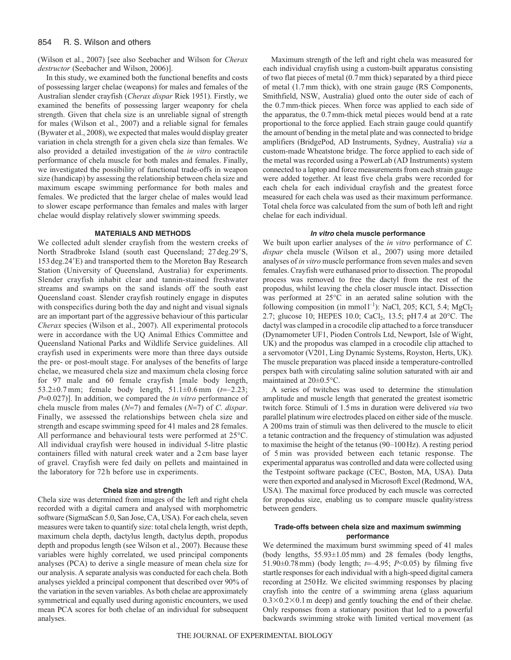(Wilson et al., 2007) [see also Seebacher and Wilson for *Cherax destructor* (Seebacher and Wilson, 2006)].

In this study, we examined both the functional benefits and costs of possessing larger chelae (weapons) for males and females of the Australian slender crayfish (*Cherax dispar* Riek 1951). Firstly, we examined the benefits of possessing larger weaponry for chela strength. Given that chela size is an unreliable signal of strength for males (Wilson et al., 2007) and a reliable signal for females (Bywater et al., 2008), we expected that males would display greater variation in chela strength for a given chela size than females. We also provided a detailed investigation of the *in vitro* contractile performance of chela muscle for both males and females. Finally, we investigated the possibility of functional trade-offs in weapon size (handicap) by assessing the relationship between chela size and maximum escape swimming performance for both males and females. We predicted that the larger chelae of males would lead to slower escape performance than females and males with larger chelae would display relatively slower swimming speeds.

#### **MATERIALS AND METHODS**

We collected adult slender crayfish from the western creeks of North Stradbroke Island (south east Queensland; 27 deg.29'S, 153 deg.24'E) and transported them to the Moreton Bay Research Station (University of Queensland, Australia) for experiments. Slender crayfish inhabit clear and tannin-stained freshwater streams and swamps on the sand islands off the south east Queensland coast. Slender crayfish routinely engage in disputes with conspecifics during both the day and night and visual signals are an important part of the aggressive behaviour of this particular *Cherax* species (Wilson et al., 2007). All experimental protocols were in accordance with the UQ Animal Ethics Committee and Queensland National Parks and Wildlife Service guidelines. All crayfish used in experiments were more than three days outside the pre- or post-moult stage. For analyses of the benefits of large chelae, we measured chela size and maximum chela closing force for 97 male and 60 female crayfish [male body length, 53.2±0.7 mm; female body length, 51.1±0.6 mm (*t*=–2.23; *P*=0.027)]. In addition, we compared the *in vitro* performance of chela muscle from males (*N*=7) and females (*N*=7) of *C. dispar*. Finally, we assessed the relationships between chela size and strength and escape swimming speed for 41 males and 28 females. All performance and behavioural tests were performed at 25°C. All individual crayfish were housed in individual 5-litre plastic containers filled with natural creek water and a 2 cm base layer of gravel. Crayfish were fed daily on pellets and maintained in the laboratory for 72 h before use in experiments.

#### **Chela size and strength**

Chela size was determined from images of the left and right chela recorded with a digital camera and analysed with morphometric software (SigmaScan 5.0, San Jose, CA, USA). For each chela, seven measures were taken to quantify size: total chela length, wrist depth, maximum chela depth, dactylus length, dactylus depth, propodus depth and propodus length (see Wilson et al., 2007). Because these variables were highly correlated, we used principal components analyses (PCA) to derive a single measure of mean chela size for our analysis. A separate analysis was conducted for each chela. Both analyses yielded a principal component that described over 90% of the variation in the seven variables. As both chelae are approximately symmetrical and equally used during agonistic encounters, we used mean PCA scores for both chelae of an individual for subsequent analyses.

Maximum strength of the left and right chela was measured for each individual crayfish using a custom-built apparatus consisting of two flat pieces of metal (0.7mm thick) separated by a third piece of metal (1.7mm thick), with one strain gauge (RS Components, Smithfield, NSW, Australia) glued onto the outer side of each of the 0.7mm-thick pieces. When force was applied to each side of the apparatus, the 0.7mm-thick metal pieces would bend at a rate proportional to the force applied. Each strain gauge could quantify the amount of bending in the metal plate and was connected to bridge amplifiers (BridgePod, AD Instruments, Sydney, Australia) *via* a custom-made Wheatstone bridge. The force applied to each side of the metal was recorded using a PowerLab (AD Instruments) system connected to a laptop and force measurements from each strain gauge were added together. At least five chela grabs were recorded for each chela for each individual crayfish and the greatest force measured for each chela was used as their maximum performance. Total chela force was calculated from the sum of both left and right chelae for each individual.

#### **In vitro chela muscle performance**

We built upon earlier analyses of the *in vitro* performance of *C. dispar* chela muscle (Wilson et al., 2007) using more detailed analyses of *in vitro* muscle performance from seven males and seven females. Crayfish were euthanased prior to dissection. The propodal process was removed to free the dactyl from the rest of the propodus, whilst leaving the chela closer muscle intact. Dissection was performed at 25°C in an aerated saline solution with the following composition (in mmol<sup>1-1</sup>): NaCl, 205; KCl, 5.4; MgCl<sub>2</sub> 2.7; glucose 10; HEPES 10.0; CaCl<sub>2</sub>, 13.5; pH7.4 at 20°C. The dactyl was clamped in a crocodile clip attached to a force transducer (Dynamometer UF1, Pioden Controls Ltd, Newport, Isle of Wight, UK) and the propodus was clamped in a crocodile clip attached to a servomotor (V201, Ling Dynamic Systems, Royston, Herts, UK). The muscle preparation was placed inside a temperature-controlled perspex bath with circulating saline solution saturated with air and maintained at 20±0.5°C.

A series of twitches was used to determine the stimulation amplitude and muscle length that generated the greatest isometric twitch force. Stimuli of 1.5ms in duration were delivered *via* two parallel platinum wire electrodes placed on either side of the muscle. A 200ms train of stimuli was then delivered to the muscle to elicit a tetanic contraction and the frequency of stimulation was adjusted to maximise the height of the tetanus (90–100Hz). A resting period of 5 min was provided between each tetanic response. The experimental apparatus was controlled and data were collected using the Testpoint software package (CEC, Boston, MA, USA). Data were then exported and analysed in Microsoft Excel (Redmond, WA, USA). The maximal force produced by each muscle was corrected for propodus size, enabling us to compare muscle quality/stress between genders.

### **Trade-offs between chela size and maximum swimming performance**

We determined the maximum burst swimming speed of 41 males (body lengths, 55.93±1.05mm) and 28 females (body lengths, 51.90±0.78mm) (body length; *t*=–4.95; *P*<0.05) by filming five startle responses for each individual with a high-speed digital camera recording at 250Hz. We elicited swimming responses by placing crayfish into the centre of a swimming arena (glass aquarium  $0.3\times0.2\times0.1$  m deep) and gently touching the end of their chelae. Only responses from a stationary position that led to a powerful backwards swimming stroke with limited vertical movement (as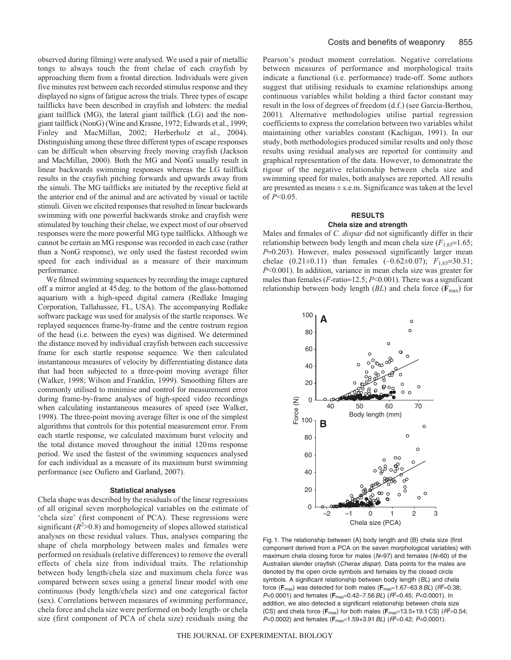observed during filming) were analysed. We used a pair of metallic tongs to always touch the front chelae of each crayfish by approaching them from a frontal direction. Individuals were given five minutes rest between each recorded stimulus response and they displayed no signs of fatigue across the trials. Three types of escape tailflicks have been described in crayfish and lobsters: the medial giant tailflick (MG), the lateral giant tailflick (LG) and the nongiant tailflick (NonG) (Wine and Krasne, 1972; Edwards et al., 1999; Finley and MacMillan, 2002; Herberholz et al., 2004). Distinguishing among these three different types of escape responses can be difficult when observing freely moving crayfish (Jackson and MacMillan, 2000). Both the MG and NonG usually result in linear backwards swimming responses whereas the LG tailflick results in the crayfish pitching forwards and upwards away from the simuli. The MG tailflicks are initiated by the receptive field at the anterior end of the animal and are activated by visual or tactile stimuli. Given we elicited responses that resulted in linear backwards swimming with one powerful backwards stroke and crayfish were stimulated by touching their chelae, we expect most of our observed responses were the more powerful MG type tailflicks. Although we cannot be certain an MG response was recorded in each case (rather than a NonG response), we only used the fastest recorded swim speed for each individual as a measure of their maximum performance.

We filmed swimming sequences by recording the image captured off a mirror angled at 45deg. to the bottom of the glass-bottomed aquarium with a high-speed digital camera (Redlake Imaging Corporation, Tallahassee, FL, USA). The accompanying Redlake software package was used for analysis of the startle responses. We replayed sequences frame-by-frame and the centre rostrum region of the head (i.e. between the eyes) was digitised. We determined the distance moved by individual crayfish between each successive frame for each startle response sequence. We then calculated instantaneous measures of velocity by differentiating distance data that had been subjected to a three-point moving average filter (Walker, 1998; Wilson and Franklin, 1999). Smoothing filters are commonly utilised to minimise and control for measurement error during frame-by-frame analyses of high-speed video recordings when calculating instantaneous measures of speed (see Walker, 1998). The three-point moving average filter is one of the simplest algorithms that controls for this potential measurement error. From each startle response, we calculated maximum burst velocity and the total distance moved throughout the initial 120ms response period. We used the fastest of the swimming sequences analysed for each individual as a measure of its maximum burst swimming performance (see Oufiero and Garland, 2007).

#### **Statistical analyses**

Chela shape was described by the residuals of the linear regressions of all original seven morphological variables on the estimate of 'chela size' (first component of PCA). These regressions were significant  $(R^2 > 0.8)$  and homogeneity of slopes allowed statistical analyses on these residual values. Thus, analyses comparing the shape of chela morphology between males and females were performed on residuals (relative differences) to remove the overall effects of chela size from individual traits. The relationship between body length/chela size and maximum chela force was compared between sexes using a general linear model with one continuous (body length/chela size) and one categorical factor (sex). Correlations between measures of swimming performance, chela force and chela size were performed on body length- or chela size (first component of PCA of chela size) residuals using the Pearson's product moment correlation. Negative correlations between measures of performance and morphological traits indicate a functional (i.e. performance) trade-off. Some authors suggest that utilising residuals to examine relationships among continuous variables whilst holding a third factor constant may result in the loss of degrees of freedom (d.f.) (see Garcia-Berthou, 2001). Alternative methodologies utilise partial regression coefficients to express the correlation between two variables whilst maintaining other variables constant (Kachigan, 1991). In our study, both methodologies produced similar results and only those results using residual analyses are reported for continuity and graphical representation of the data. However, to demonstrate the rigour of the negative relationship between chela size and swimming speed for males, both analyses are reported. All results are presented as means  $\pm$  s.e.m. Significance was taken at the level of *P*<0.05.

#### **RESULTS Chela size and strength**

Males and females of *C. dispar* did not significantly differ in their relationship between body length and mean chela size  $(F_{1,65}=1.65;$ *P*=0.203). However, males possessed significantly larger mean chelae  $(0.21 \pm 0.11)$  than females  $(-0.62 \pm 0.07)$ ;  $F_{1.65} = 30.31$ ; *P*<0.001). In addition, variance in mean chela size was greater for males than females (*F*-ratio=12.5; *P*<0.001). There was a significant relationship between body length (*BL*) and chela force (**F**max) for



Fig. 1. The relationship between (A) body length and (B) chela size (first component derived from a PCA on the seven morphological variables) with maximum chela closing force for males (N=97) and females (N=60) of the Australian slender crayfish (Cherax dispar). Data points for the males are denoted by the open circle symbols and females by the closed circle symbols. A significant relationship between body length (BL) and chela force ( $\mathbf{F}_{\text{max}}$ ) was detected for both males ( $\mathbf{F}_{\text{max}}$ =1.67–63.8 BL) ( $R^2$ =0.38; P<0.0001) and females ( $\mathbf{F}_{\text{max}}$ =0.42–7.56 BL) ( $R^2$ =0.45; P<0.0001). In addition, we also detected a significant relationship between chela size (CS) and chela force ( $\mathbf{F}_{\text{max}}$ ) for both males ( $\mathbf{F}_{\text{max}}$ =13.5+19.1 CS) ( $\mathbf{R}^2$ =0.54;  $P<sub>0.0002</sub>$  and females ( $\mathbf{F}_{\text{max}}=1.59+3.91$  BL) ( $R<sup>2</sup>=0.42$ ;  $P<0.0001$ ).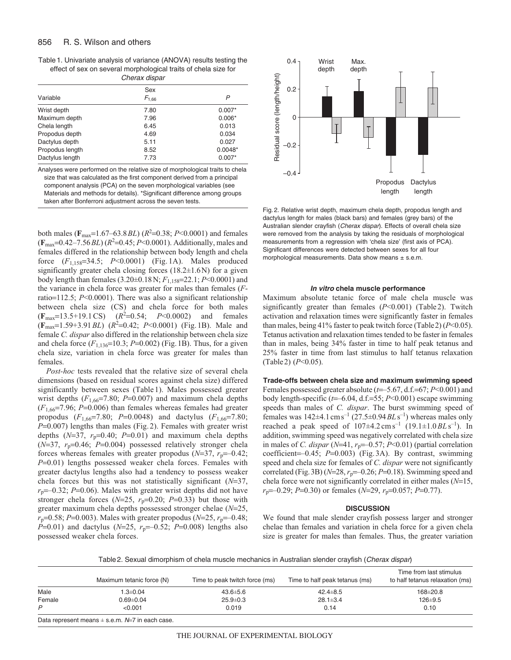#### 856 R. S. Wilson and others

Table1. Univariate analysis of variance (ANOVA) results testing the effect of sex on several morphological traits of chela size for Charax diapar

| UHULA USPAH     |            |           |  |  |
|-----------------|------------|-----------|--|--|
|                 | Sex        |           |  |  |
| Variable        | $F_{1.66}$ | P         |  |  |
| Wrist depth     | 7.80       | $0.007*$  |  |  |
| Maximum depth   | 7.96       | $0.006*$  |  |  |
| Chela length    | 6.45       | 0.013     |  |  |
| Propodus depth  | 4.69       | 0.034     |  |  |
| Dactylus depth  | 5.11       | 0.027     |  |  |
| Propodus length | 8.52       | $0.0048*$ |  |  |
| Dactylus length | 7.73       | $0.007*$  |  |  |

Analyses were performed on the relative size of morphological traits to chela size that was calculated as the first component derived from a principal component analysis (PCA) on the seven morphological variables (see Materials and methods for details). \*Significant difference among groups taken after Bonferroni adjustment across the seven tests.

both males ( $\mathbf{F}_{\text{max}}$ =1.67–63.8*BL*) ( $R$ <sup>2</sup>=0.38; *P*<0.0001) and females (**F**max=0.42–7.56*BL*) (*R*<sup>2</sup> =0.45; *P*<0.0001). Additionally, males and females differed in the relationship between body length and chela force (*F*1,158=34.5; *P*<0.0001) (Fig. 1A). Males produced significantly greater chela closing forces (18.2±1.6N) for a given body length than females (3.20±0.18N; *F*1,158=22.1; *P*<0.0001) and the variance in chela force was greater for males than females (*F*ratio=112.5; *P*<0.0001). There was also a significant relationship between chela size (CS) and chela force for both males  $(\mathbf{F}_{\text{max}}=13.5+19.1 \text{ CS})$   $(R^2=0.54; P<0.0002)$  and females ( $\mathbf{F}_{\text{max}}$ =1.59+3.91*BL*) ( $R^2$ =0.42; *P*<0.0001) (Fig. 1B). Male and female *C. dispar* also differed in the relationship between chela size and chela force  $(F_{1,136}=10.3; P=0.002)$  (Fig. 1B). Thus, for a given chela size, variation in chela force was greater for males than females.

*Post-hoc* tests revealed that the relative size of several chela dimensions (based on residual scores against chela size) differed significantly between sexes (Table 1). Males possessed greater wrist depths  $(F_{1,66}=7.80; P=0.007)$  and maximum chela depths (*F*1,66=7.96; *P*=0.006) than females whereas females had greater propodus  $(F_{1,66}=7.80; P=0.0048)$  and dactylus  $(F_{1,66}=7.80;$ *P*=0.007) lengths than males (Fig. 2). Females with greater wrist depths  $(N=37, r_p=0.40; P=0.01)$  and maximum chela depths  $(N=37, r_p=0.46; P=0.004)$  possessed relatively stronger chela forces whereas females with greater propodus  $(N=37, r_p=-0.42;$ *P*=0.01) lengths possessed weaker chela forces. Females with greater dactylus lengths also had a tendency to possess weaker chela forces but this was not statistically significant (*N*=37,  $r_p$ =–0.32; *P*=0.06). Males with greater wrist depths did not have stronger chela forces ( $N=25$ ,  $r_p=0.20$ ;  $P=0.33$ ) but those with greater maximum chela depths possessed stronger chelae (*N*=25,  $r_p$ =0.58; *P*=0.003). Males with greater propodus (*N*=25,  $r_p$ =–0.48; *P*=0.01) and dactylus ( $N=25$ ,  $r_p$ =–0.52; *P*=0.008) lengths also possessed weaker chela forces.



Fig. 2. Relative wrist depth, maximum chela depth, propodus length and dactylus length for males (black bars) and females (grey bars) of the Australian slender crayfish (Cherax dispar). Effects of overall chela size were removed from the analysis by taking the residuals of morphological measurements from a regression with 'chela size' (first axis of PCA). Significant differences were detected between sexes for all four morphological measurements. Data show means  $\pm$  s.e.m.

#### **In vitro chela muscle performance**

Maximum absolute tetanic force of male chela muscle was significantly greater than females (*P*<0.001) (Table2). Twitch activation and relaxation times were significantly faster in females than males, being 41% faster to peak twitch force (Table2) (*P*<0.05). Tetanus activation and relaxation times tended to be faster in females than in males, being 34% faster in time to half peak tetanus and 25% faster in time from last stimulus to half tetanus relaxation (Table2) (*P*<0.05).

## **Trade-offs between chela size and maximum swimming speed** Females possessed greater absolute (*t*=–5.67, d.f.=67; *P*<0.001) and

body length-specific (*t*=–6.04, d.f.=55; *P*<0.001) escape swimming speeds than males of *C. dispar*. The burst swimming speed of females was  $142\pm4.1$  cm s<sup>-1</sup> (27.5 $\pm$ 0.94*BL* s<sup>-1</sup>) whereas males only reached a peak speed of  $107 \pm 4.2 \text{ cm s}^{-1}$  (19.1 $\pm 1.0$  *BL* s<sup>-1</sup>). In addition, swimming speed was negatively correlated with chela size in males of *C. dispar* (*N*=41, *r*p=–0.57; *P*<0.01) (partial correlation coefficient=–0.45; *P*=0.003) (Fig. 3A). By contrast, swimming speed and chela size for females of *C. dispar* were not significantly correlated (Fig.3B) (*N*=28, *r*p=–0.26; *P*=0.18). Swimming speed and chela force were not significantly correlated in either males (*N*=15, *r*p=–0.29; *P*=0.30) or females (*N*=29, *r*p=0.057; *P*=0.77).

#### **DISCUSSION**

We found that male slender crayfish possess larger and stronger chelae than females and variation in chela force for a given chela size is greater for males than females. Thus, the greater variation

Table 2. Sexual dimorphism of chela muscle mechanics in Australian slender crayfish (Cherax dispar)

|        | Maximum tetanic force (N)                           | Time to peak twitch force (ms) | Time to half peak tetanus (ms) | Time from last stimulus<br>to half tetanus relaxation (ms) |
|--------|-----------------------------------------------------|--------------------------------|--------------------------------|------------------------------------------------------------|
| Male   | $1.3 \pm 0.04$                                      | $43.6 \pm 5.6$                 | $42.4 \pm 8.5$                 | 168±20.8                                                   |
| Female | $0.69 \pm 0.04$                                     | $25.9 \pm 0.3$                 | $28.1 \pm 3.4$                 | 126±9.5                                                    |
| P      | < 0.001                                             | 0.019                          | 0.14                           | 0.10                                                       |
|        | Data represent means $\pm$ s.e.m. N=7 in each case. |                                |                                |                                                            |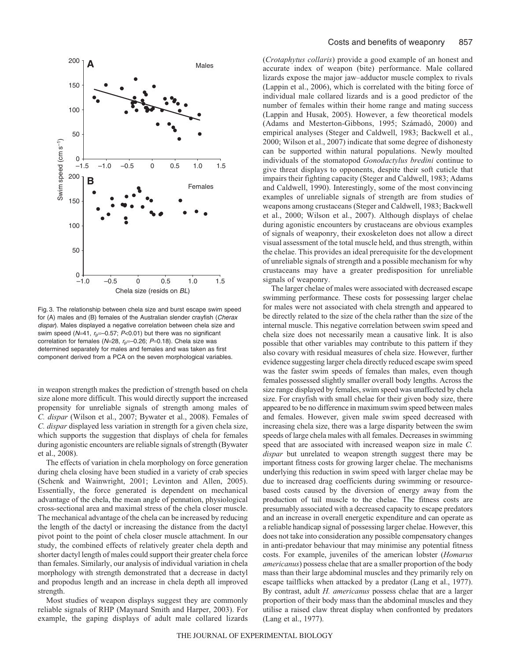

Fig. 3. The relationship between chela size and burst escape swim speed for (A) males and (B) females of the Australian slender crayfish (Cherax dispar). Males displayed a negative correlation between chela size and swim speed ( $N=41$ ,  $r_p=-0.57$ ;  $P<0.01$ ) but there was no significant correlation for females ( $N=28$ ,  $r<sub>p</sub>=0.26$ ;  $P=0.18$ ). Chela size was determined separately for males and females and was taken as first component derived from a PCA on the seven morphological variables.

in weapon strength makes the prediction of strength based on chela size alone more difficult. This would directly support the increased propensity for unreliable signals of strength among males of *C. dispar* (Wilson et al., 2007; Bywater et al., 2008). Females of *C. dispar* displayed less variation in strength for a given chela size, which supports the suggestion that displays of chela for females during agonistic encounters are reliable signals of strength (Bywater et al., 2008).

The effects of variation in chela morphology on force generation during chela closing have been studied in a variety of crab species (Schenk and Wainwright, 2001; Levinton and Allen, 2005). Essentially, the force generated is dependent on mechanical advantage of the chela, the mean angle of pennation, physiological cross-sectional area and maximal stress of the chela closer muscle. The mechanical advantage of the chela can be increased by reducing the length of the dactyl or increasing the distance from the dactyl pivot point to the point of chela closer muscle attachment. In our study, the combined effects of relatively greater chela depth and shorter dactyl length of males could support their greater chela force than females. Similarly, our analysis of individual variation in chela morphology with strength demonstrated that a decrease in dactyl and propodus length and an increase in chela depth all improved strength.

Most studies of weapon displays suggest they are commonly reliable signals of RHP (Maynard Smith and Harper, 2003). For example, the gaping displays of adult male collared lizards (*Crotaphytus collaris*) provide a good example of an honest and accurate index of weapon (bite) performance. Male collared lizards expose the major jaw–adductor muscle complex to rivals (Lappin et al., 2006), which is correlated with the biting force of individual male collared lizards and is a good predictor of the number of females within their home range and mating success (Lappin and Husak, 2005). However, a few theoretical models (Adams and Mesterton-Gibbons, 1995; Számadó, 2000) and empirical analyses (Steger and Caldwell, 1983; Backwell et al., 2000; Wilson et al., 2007) indicate that some degree of dishonesty can be supported within natural populations. Newly moulted individuals of the stomatopod *Gonodactylus bredini* continue to give threat displays to opponents, despite their soft cuticle that impairs their fighting capacity (Steger and Caldwell, 1983; Adams and Caldwell, 1990). Interestingly, some of the most convincing examples of unreliable signals of strength are from studies of weapons among crustaceans (Steger and Caldwell, 1983; Backwell et al., 2000; Wilson et al., 2007). Although displays of chelae during agonistic encounters by crustaceans are obvious examples of signals of weaponry, their exoskeleton does not allow a direct visual assessment of the total muscle held, and thus strength, within the chelae. This provides an ideal prerequisite for the development of unreliable signals of strength and a possible mechanism for why crustaceans may have a greater predisposition for unreliable signals of weaponry.

The larger chelae of males were associated with decreased escape swimming performance. These costs for possessing larger chelae for males were not associated with chela strength and appeared to be directly related to the size of the chela rather than the size of the internal muscle. This negative correlation between swim speed and chela size does not necessarily mean a causative link. It is also possible that other variables may contribute to this pattern if they also covary with residual measures of chela size. However, further evidence suggesting larger chela directly reduced escape swim speed was the faster swim speeds of females than males, even though females possessed slightly smaller overall body lengths. Across the size range displayed by females, swim speed was unaffected by chela size. For crayfish with small chelae for their given body size, there appeared to be no difference in maximum swim speed between males and females. However, given male swim speed decreased with increasing chela size, there was a large disparity between the swim speeds of large chela males with all females. Decreases in swimming speed that are associated with increased weapon size in male *C. dispar* but unrelated to weapon strength suggest there may be important fitness costs for growing larger chelae. The mechanisms underlying this reduction in swim speed with larger chelae may be due to increased drag coefficients during swimming or resourcebased costs caused by the diversion of energy away from the production of tail muscle to the chelae. The fitness costs are presumably associated with a decreased capacity to escape predators and an increase in overall energetic expenditure and can operate as a reliable handicap signal of possessing larger chelae. However, this does not take into consideration any possible compensatory changes in anti-predator behaviour that may minimise any potential fitness costs. For example, juveniles of the american lobster (*Homarus americanus*) possess chelae that are a smaller proportion of the body mass than their large abdominal muscles and they primarily rely on escape tailflicks when attacked by a predator (Lang et al., 1977). By contrast, adult *H. americanus* possess chelae that are a larger proportion of their body mass than the abdominal muscles and they utilise a raised claw threat display when confronted by predators (Lang et al., 1977).